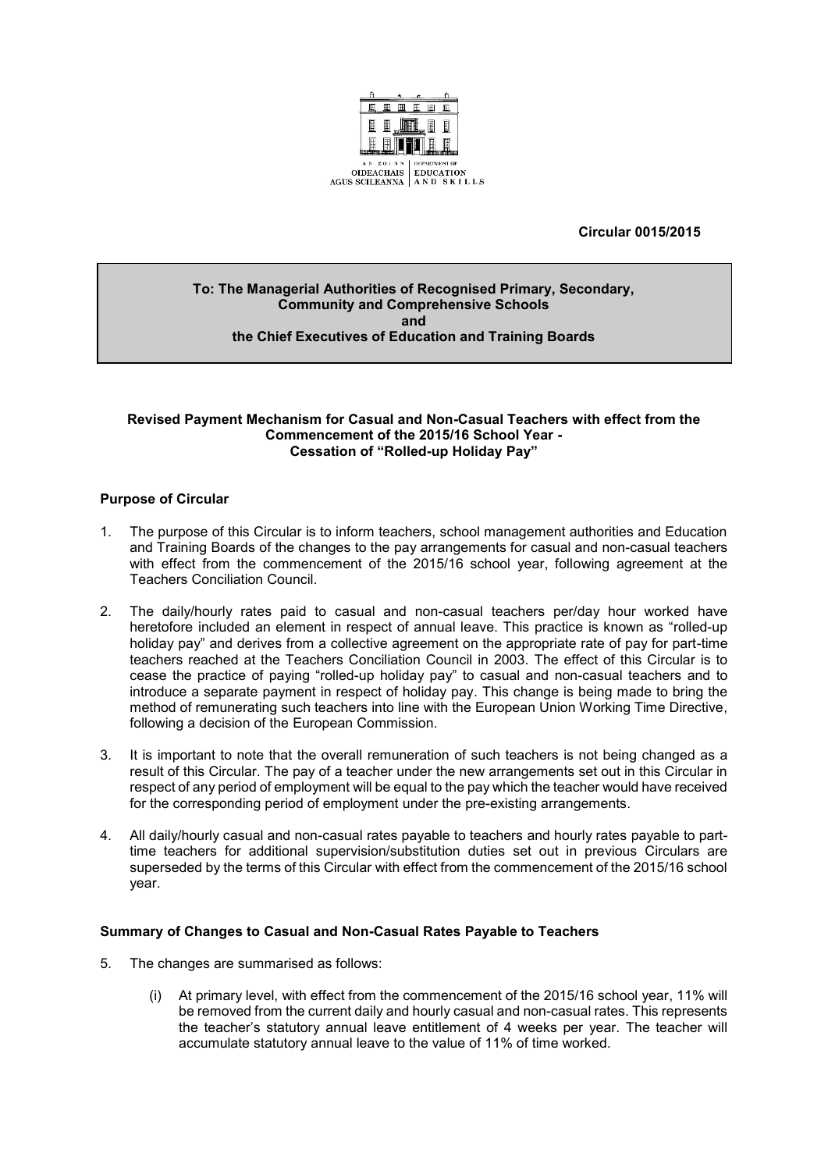

#### **Circular 0015/2015**

#### **To: The Managerial Authorities of Recognised Primary, Secondary, Community and Comprehensive Schools and the Chief Executives of Education and Training Boards**

#### **Revised Payment Mechanism for Casual and Non-Casual Teachers with effect from the Commencement of the 2015/16 School Year - Cessation of "Rolled-up Holiday Pay"**

#### **Purpose of Circular**

- 1. The purpose of this Circular is to inform teachers, school management authorities and Education and Training Boards of the changes to the pay arrangements for casual and non-casual teachers with effect from the commencement of the 2015/16 school year, following agreement at the Teachers Conciliation Council.
- 2. The daily/hourly rates paid to casual and non-casual teachers per/day hour worked have heretofore included an element in respect of annual leave. This practice is known as "rolled-up holiday pay" and derives from a collective agreement on the appropriate rate of pay for part-time teachers reached at the Teachers Conciliation Council in 2003. The effect of this Circular is to cease the practice of paying "rolled-up holiday pay" to casual and non-casual teachers and to introduce a separate payment in respect of holiday pay. This change is being made to bring the method of remunerating such teachers into line with the European Union Working Time Directive, following a decision of the European Commission.
- 3. It is important to note that the overall remuneration of such teachers is not being changed as a result of this Circular. The pay of a teacher under the new arrangements set out in this Circular in respect of any period of employment will be equal to the pay which the teacher would have received for the corresponding period of employment under the pre-existing arrangements.
- 4. All daily/hourly casual and non-casual rates payable to teachers and hourly rates payable to parttime teachers for additional supervision/substitution duties set out in previous Circulars are superseded by the terms of this Circular with effect from the commencement of the 2015/16 school year.

#### **Summary of Changes to Casual and Non-Casual Rates Payable to Teachers**

- 5. The changes are summarised as follows:
	- (i) At primary level, with effect from the commencement of the 2015/16 school year, 11% will be removed from the current daily and hourly casual and non-casual rates. This represents the teacher's statutory annual leave entitlement of 4 weeks per year. The teacher will accumulate statutory annual leave to the value of 11% of time worked.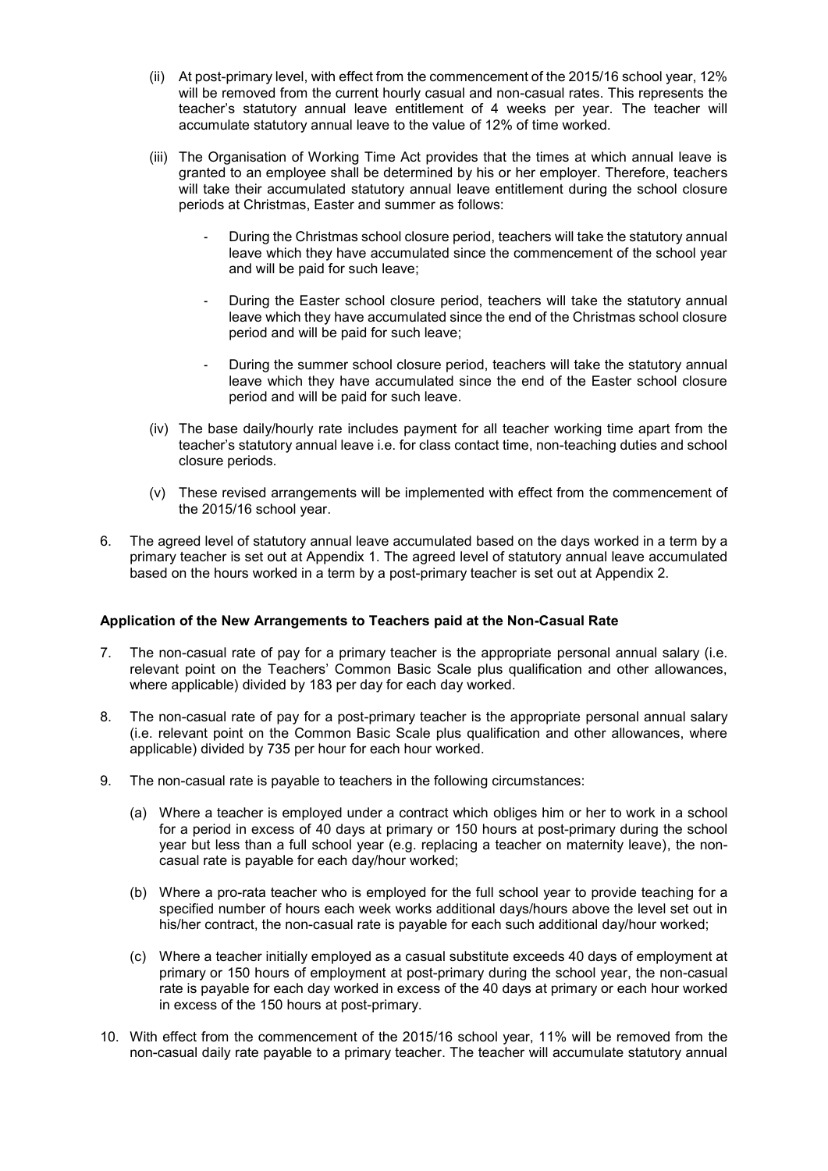- (ii) At post-primary level, with effect from the commencement of the 2015/16 school year, 12% will be removed from the current hourly casual and non-casual rates. This represents the teacher's statutory annual leave entitlement of 4 weeks per year. The teacher will accumulate statutory annual leave to the value of 12% of time worked.
- (iii) The Organisation of Working Time Act provides that the times at which annual leave is granted to an employee shall be determined by his or her employer. Therefore, teachers will take their accumulated statutory annual leave entitlement during the school closure periods at Christmas, Easter and summer as follows:
	- During the Christmas school closure period, teachers will take the statutory annual leave which they have accumulated since the commencement of the school year and will be paid for such leave;
	- During the Easter school closure period, teachers will take the statutory annual leave which they have accumulated since the end of the Christmas school closure period and will be paid for such leave;
	- During the summer school closure period, teachers will take the statutory annual leave which they have accumulated since the end of the Easter school closure period and will be paid for such leave.
- (iv) The base daily/hourly rate includes payment for all teacher working time apart from the teacher's statutory annual leave i.e. for class contact time, non-teaching duties and school closure periods.
- (v) These revised arrangements will be implemented with effect from the commencement of the 2015/16 school year.
- 6. The agreed level of statutory annual leave accumulated based on the days worked in a term by a primary teacher is set out at Appendix 1. The agreed level of statutory annual leave accumulated based on the hours worked in a term by a post-primary teacher is set out at Appendix 2.

#### **Application of the New Arrangements to Teachers paid at the Non-Casual Rate**

- 7. The non-casual rate of pay for a primary teacher is the appropriate personal annual salary (i.e. relevant point on the Teachers' Common Basic Scale plus qualification and other allowances, where applicable) divided by 183 per day for each day worked.
- 8. The non-casual rate of pay for a post-primary teacher is the appropriate personal annual salary (i.e. relevant point on the Common Basic Scale plus qualification and other allowances, where applicable) divided by 735 per hour for each hour worked.
- 9. The non-casual rate is payable to teachers in the following circumstances:
	- (a) Where a teacher is employed under a contract which obliges him or her to work in a school for a period in excess of 40 days at primary or 150 hours at post-primary during the school year but less than a full school year (e.g. replacing a teacher on maternity leave), the noncasual rate is payable for each day/hour worked;
	- (b) Where a pro-rata teacher who is employed for the full school year to provide teaching for a specified number of hours each week works additional days/hours above the level set out in his/her contract, the non-casual rate is payable for each such additional day/hour worked;
	- (c) Where a teacher initially employed as a casual substitute exceeds 40 days of employment at primary or 150 hours of employment at post-primary during the school year, the non-casual rate is payable for each day worked in excess of the 40 days at primary or each hour worked in excess of the 150 hours at post-primary.
- 10. With effect from the commencement of the 2015/16 school year, 11% will be removed from the non-casual daily rate payable to a primary teacher. The teacher will accumulate statutory annual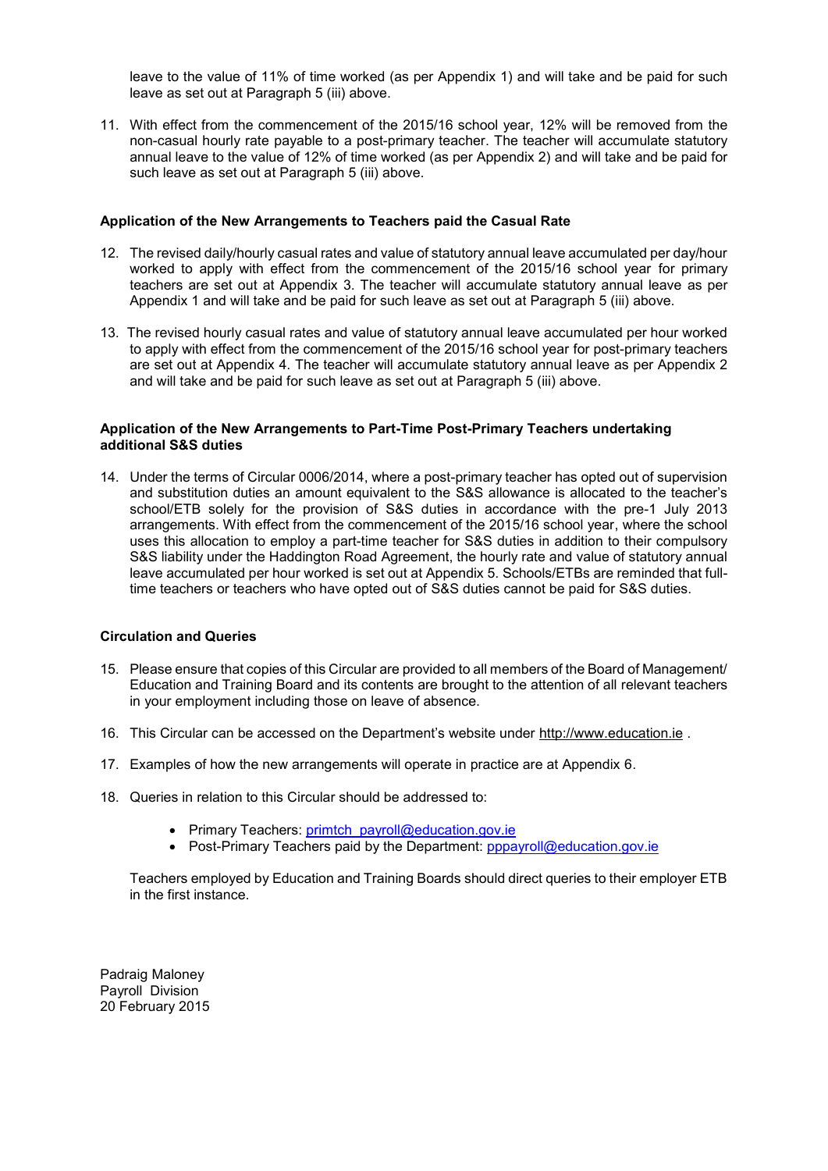leave to the value of 11% of time worked (as per Appendix 1) and will take and be paid for such leave as set out at Paragraph 5 (iii) above.

11. With effect from the commencement of the 2015/16 school year, 12% will be removed from the non-casual hourly rate payable to a post-primary teacher. The teacher will accumulate statutory annual leave to the value of 12% of time worked (as per Appendix 2) and will take and be paid for such leave as set out at Paragraph 5 (iii) above.

#### **Application of the New Arrangements to Teachers paid the Casual Rate**

- 12. The revised daily/hourly casual rates and value of statutory annual leave accumulated per day/hour worked to apply with effect from the commencement of the 2015/16 school year for primary teachers are set out at Appendix 3. The teacher will accumulate statutory annual leave as per Appendix 1 and will take and be paid for such leave as set out at Paragraph 5 (iii) above.
- 13. The revised hourly casual rates and value of statutory annual leave accumulated per hour worked to apply with effect from the commencement of the 2015/16 school year for post-primary teachers are set out at Appendix 4. The teacher will accumulate statutory annual leave as per Appendix 2 and will take and be paid for such leave as set out at Paragraph 5 (iii) above.

#### **Application of the New Arrangements to Part-Time Post-Primary Teachers undertaking additional S&S duties**

14. Under the terms of Circular 0006/2014, where a post-primary teacher has opted out of supervision and substitution duties an amount equivalent to the S&S allowance is allocated to the teacher's school/ETB solely for the provision of S&S duties in accordance with the pre-1 July 2013 arrangements. With effect from the commencement of the 2015/16 school year, where the school uses this allocation to employ a part-time teacher for S&S duties in addition to their compulsory S&S liability under the Haddington Road Agreement, the hourly rate and value of statutory annual leave accumulated per hour worked is set out at Appendix 5. Schools/ETBs are reminded that fulltime teachers or teachers who have opted out of S&S duties cannot be paid for S&S duties.

## **Circulation and Queries**

- 15. Please ensure that copies of this Circular are provided to all members of the Board of Management/ Education and Training Board and its contents are brought to the attention of all relevant teachers in your employment including those on leave of absence.
- 16. This Circular can be accessed on the Department's website under [http://www.education.ie](http://www.education.ie/) .
- 17. Examples of how the new arrangements will operate in practice are at Appendix 6.
- 18. Queries in relation to this Circular should be addressed to:
	- Primary Teachers: [primtch\\_payroll@education.gov.ie](mailto:primtch_payroll@education.gov.ie)
	- Post-Primary Teachers paid by the Department: [pppayroll@education.gov.ie](mailto:pppayroll@education.gov.ie)

Teachers employed by Education and Training Boards should direct queries to their employer ETB in the first instance.

Padraig Maloney Payroll Division 20 February 2015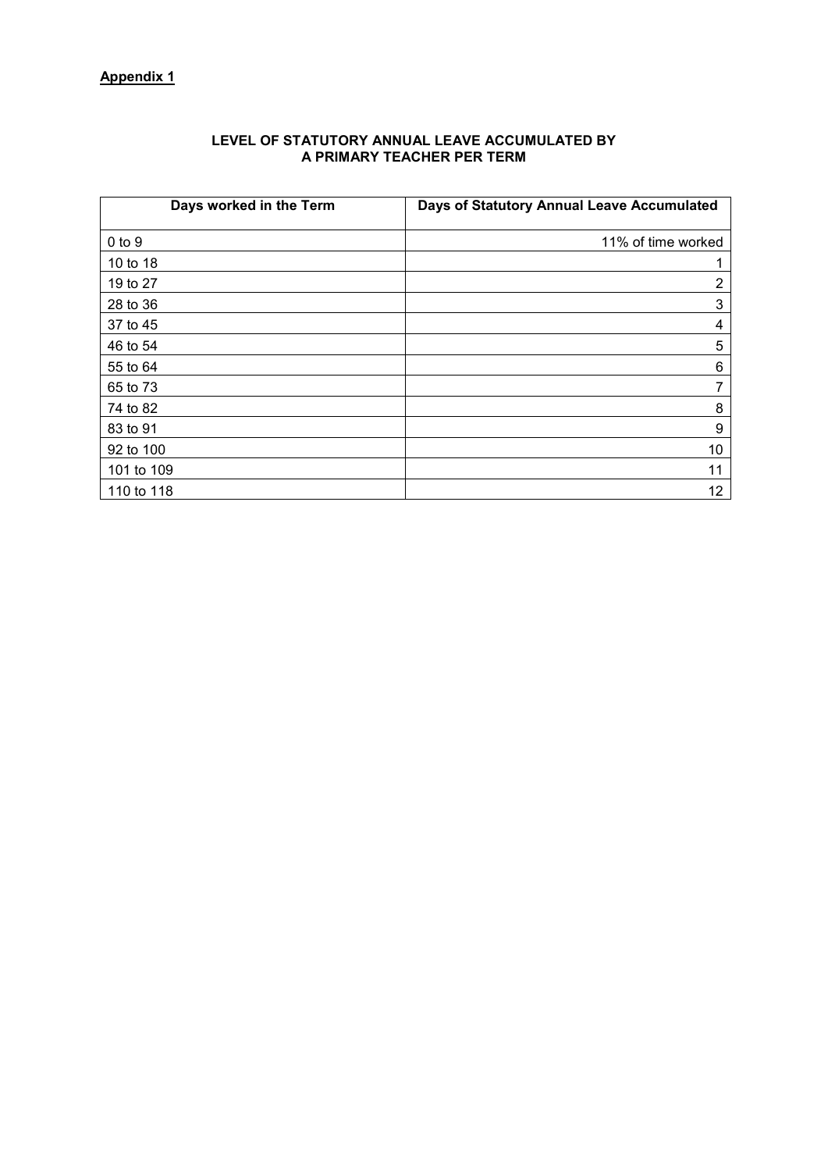# **Appendix 1**

| Days worked in the Term | Days of Statutory Annual Leave Accumulated |
|-------------------------|--------------------------------------------|
| $0$ to $9$              | 11% of time worked                         |
| 10 to 18                |                                            |
| 19 to 27                | 2                                          |
| 28 to 36                | 3                                          |
| 37 to 45                | 4                                          |
| 46 to 54                | 5                                          |
| 55 to 64                | 6                                          |
| 65 to 73                | 7                                          |
| 74 to 82                | 8                                          |
| 83 to 91                | 9                                          |
| 92 to 100               | 10                                         |
| 101 to 109              | 11                                         |
| 110 to 118              | 12                                         |

### **LEVEL OF STATUTORY ANNUAL LEAVE ACCUMULATED BY A PRIMARY TEACHER PER TERM**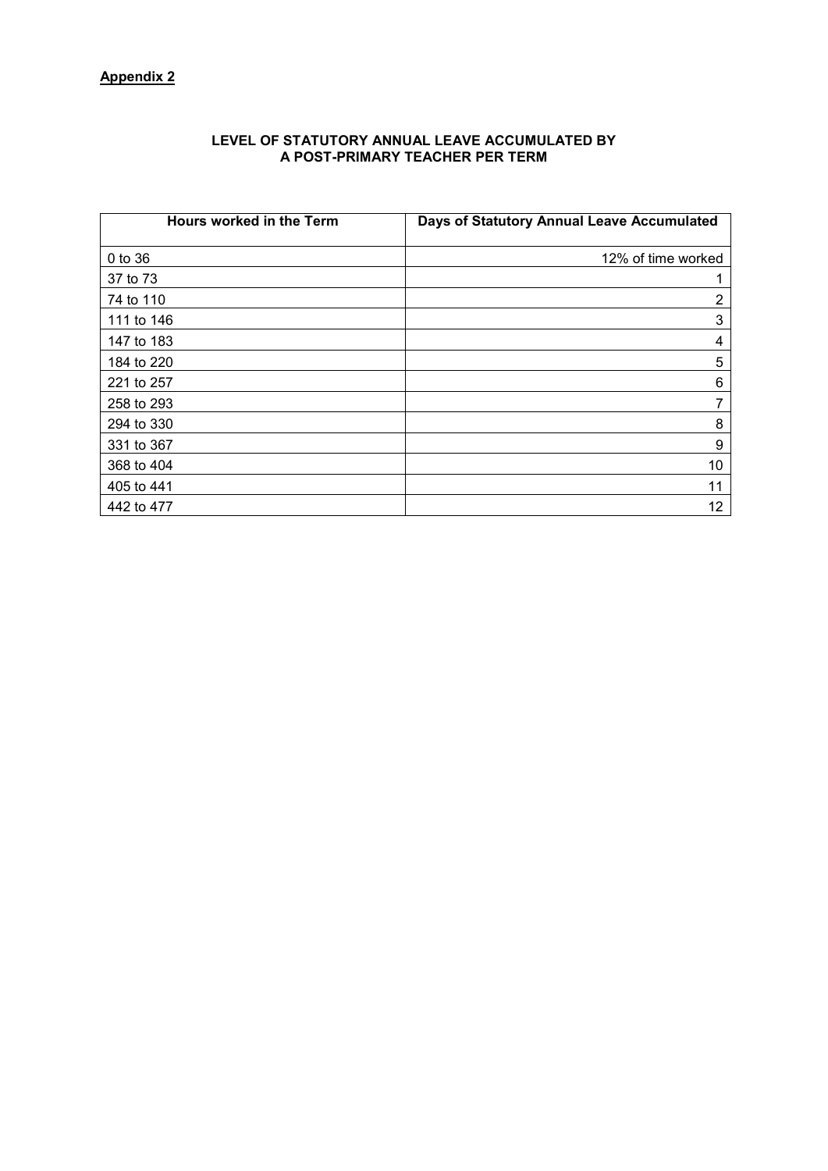#### **LEVEL OF STATUTORY ANNUAL LEAVE ACCUMULATED BY A POST-PRIMARY TEACHER PER TERM**

| Hours worked in the Term | Days of Statutory Annual Leave Accumulated |
|--------------------------|--------------------------------------------|
| $0$ to $36$              | 12% of time worked                         |
| 37 to 73                 |                                            |
| 74 to 110                | 2                                          |
| 111 to 146               | 3                                          |
| 147 to 183               | 4                                          |
| 184 to 220               | 5                                          |
| 221 to 257               | 6                                          |
| 258 to 293               | 7                                          |
| 294 to 330               | 8                                          |
| 331 to 367               | 9                                          |
| 368 to 404               | 10                                         |
| 405 to 441               | 11                                         |
| 442 to 477               | 12                                         |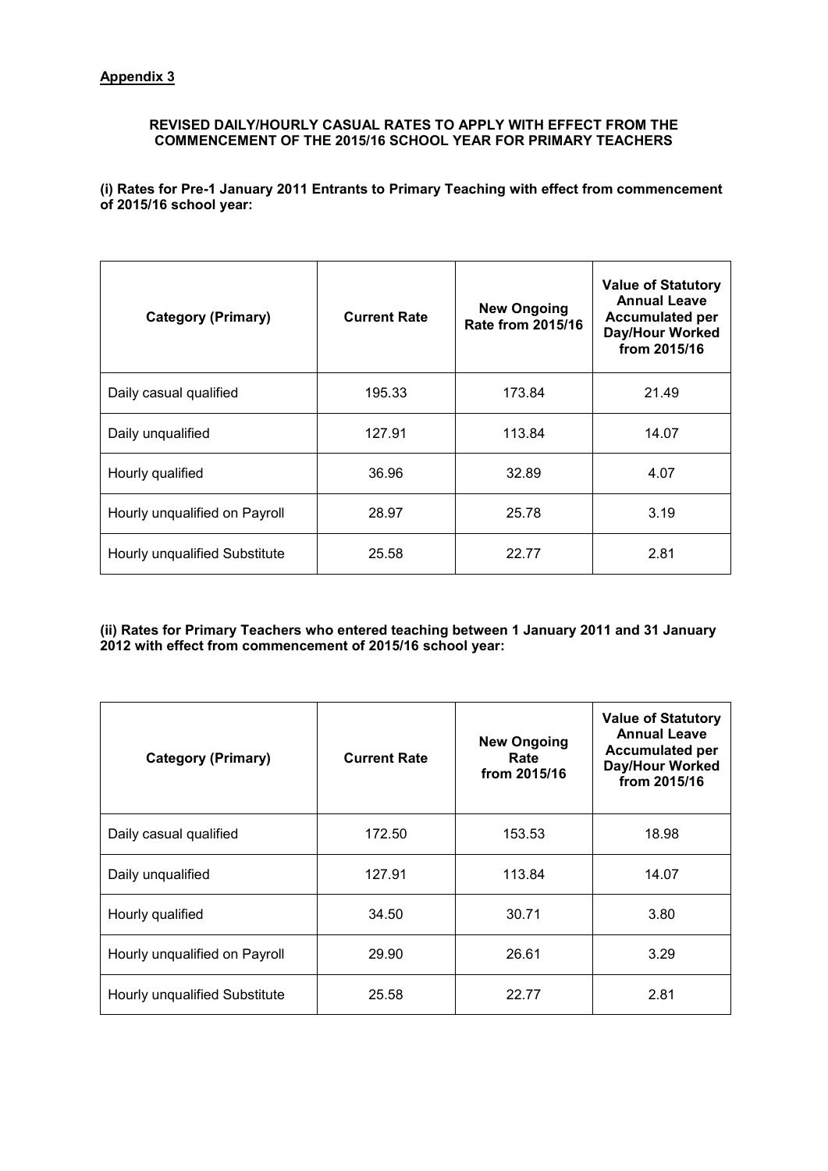# **REVISED DAILY/HOURLY CASUAL RATES TO APPLY WITH EFFECT FROM THE COMMENCEMENT OF THE 2015/16 SCHOOL YEAR FOR PRIMARY TEACHERS**

**(i) Rates for Pre-1 January 2011 Entrants to Primary Teaching with effect from commencement of 2015/16 school year:**

| <b>Category (Primary)</b>     | <b>Current Rate</b> | <b>New Ongoing</b><br><b>Rate from 2015/16</b> | <b>Value of Statutory</b><br><b>Annual Leave</b><br><b>Accumulated per</b><br>Day/Hour Worked<br>from 2015/16 |  |
|-------------------------------|---------------------|------------------------------------------------|---------------------------------------------------------------------------------------------------------------|--|
| Daily casual qualified        | 195.33              | 173.84                                         | 21.49                                                                                                         |  |
| Daily unqualified             | 127.91              | 113.84                                         | 14.07                                                                                                         |  |
| Hourly qualified              | 36.96               | 32.89                                          | 4.07                                                                                                          |  |
| Hourly unqualified on Payroll | 28.97               | 25.78                                          | 3.19                                                                                                          |  |
| Hourly unqualified Substitute | 25.58               | 22.77                                          | 2.81                                                                                                          |  |

**(ii) Rates for Primary Teachers who entered teaching between 1 January 2011 and 31 January 2012 with effect from commencement of 2015/16 school year:**

| <b>Category (Primary)</b>     | <b>Current Rate</b> | <b>New Ongoing</b><br>Rate<br>from 2015/16 |       |
|-------------------------------|---------------------|--------------------------------------------|-------|
| Daily casual qualified        | 172.50              | 153.53                                     | 18.98 |
| Daily unqualified             | 127.91              | 113.84                                     | 14.07 |
| Hourly qualified              | 34.50               | 30.71                                      | 3.80  |
| Hourly unqualified on Payroll | 26.61<br>29.90      |                                            | 3.29  |
| Hourly unqualified Substitute | 25.58               | 22.77                                      | 2.81  |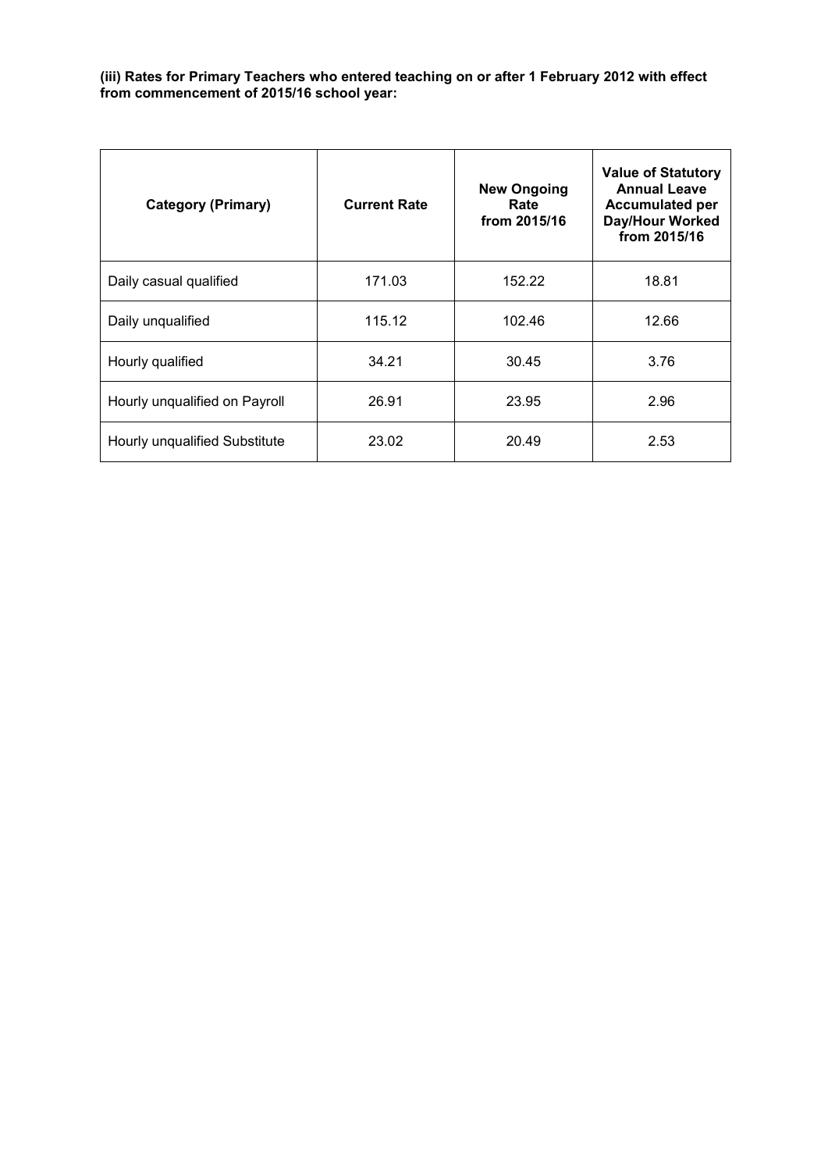### **(iii) Rates for Primary Teachers who entered teaching on or after 1 February 2012 with effect from commencement of 2015/16 school year:**

| <b>Category (Primary)</b>     | <b>Current Rate</b> | <b>New Ongoing</b><br>Rate<br>from 2015/16 |       |
|-------------------------------|---------------------|--------------------------------------------|-------|
| Daily casual qualified        | 171.03              | 152.22                                     | 18.81 |
| Daily unqualified             | 115.12              | 102.46                                     | 12.66 |
| Hourly qualified              | 34.21               | 30.45                                      | 3.76  |
| Hourly unqualified on Payroll | 26.91               | 23.95                                      | 2.96  |
| Hourly unqualified Substitute | 23.02               | 20.49                                      | 2.53  |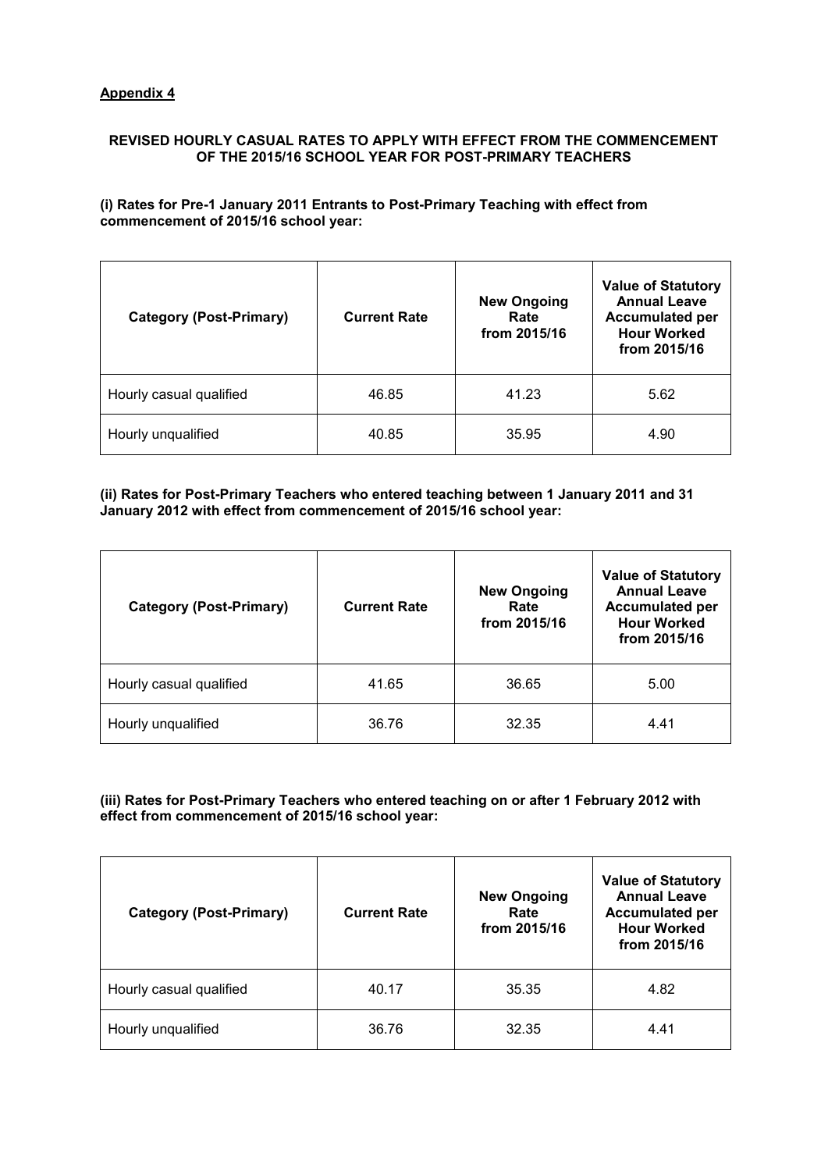## **REVISED HOURLY CASUAL RATES TO APPLY WITH EFFECT FROM THE COMMENCEMENT OF THE 2015/16 SCHOOL YEAR FOR POST-PRIMARY TEACHERS**

### **(i) Rates for Pre-1 January 2011 Entrants to Post-Primary Teaching with effect from commencement of 2015/16 school year:**

| <b>Category (Post-Primary)</b> | <b>Current Rate</b> | <b>New Ongoing</b><br>Rate<br>from 2015/16 | <b>Value of Statutory</b><br><b>Annual Leave</b><br><b>Accumulated per</b><br><b>Hour Worked</b><br>from 2015/16 |
|--------------------------------|---------------------|--------------------------------------------|------------------------------------------------------------------------------------------------------------------|
| Hourly casual qualified        | 46.85               | 41.23                                      | 5.62                                                                                                             |
| Hourly unqualified             | 40.85               | 35.95                                      | 4.90                                                                                                             |

### **(ii) Rates for Post-Primary Teachers who entered teaching between 1 January 2011 and 31 January 2012 with effect from commencement of 2015/16 school year:**

| <b>Category (Post-Primary)</b> | <b>Current Rate</b> | <b>New Ongoing</b><br>Rate<br>from 2015/16 | <b>Value of Statutory</b><br><b>Annual Leave</b><br><b>Accumulated per</b><br><b>Hour Worked</b><br>from 2015/16 |
|--------------------------------|---------------------|--------------------------------------------|------------------------------------------------------------------------------------------------------------------|
| Hourly casual qualified        | 41.65               | 36.65                                      | 5.00                                                                                                             |
| Hourly unqualified             | 36.76               | 32.35                                      | 4.41                                                                                                             |

### **(iii) Rates for Post-Primary Teachers who entered teaching on or after 1 February 2012 with effect from commencement of 2015/16 school year:**

| <b>Category (Post-Primary)</b> | <b>Current Rate</b> | <b>New Ongoing</b><br>Rate<br>from 2015/16 | <b>Value of Statutory</b><br><b>Annual Leave</b><br><b>Accumulated per</b><br><b>Hour Worked</b><br>from 2015/16 |
|--------------------------------|---------------------|--------------------------------------------|------------------------------------------------------------------------------------------------------------------|
| Hourly casual qualified        | 40.17               | 35.35                                      | 4.82                                                                                                             |
| Hourly unqualified             | 36.76               | 32.35                                      | 4.41                                                                                                             |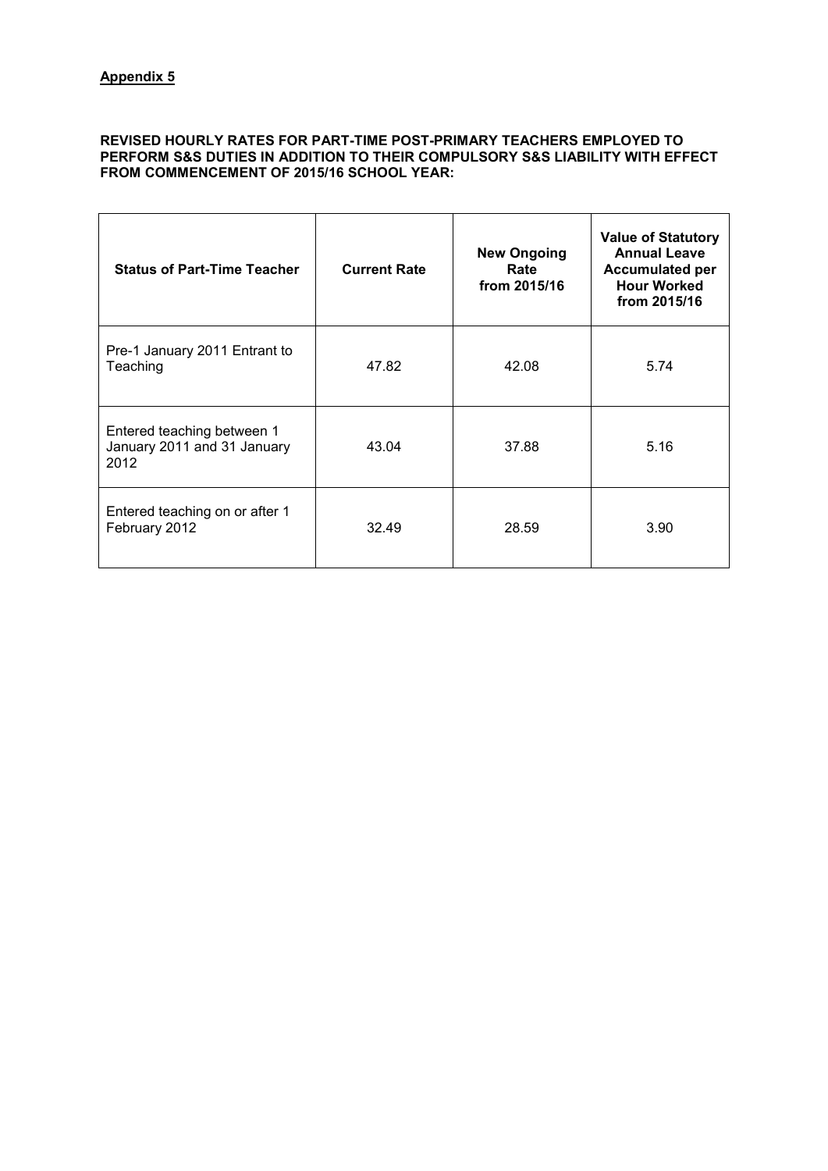#### **REVISED HOURLY RATES FOR PART-TIME POST-PRIMARY TEACHERS EMPLOYED TO PERFORM S&S DUTIES IN ADDITION TO THEIR COMPULSORY S&S LIABILITY WITH EFFECT FROM COMMENCEMENT OF 2015/16 SCHOOL YEAR:**

| <b>Status of Part-Time Teacher</b>                                | <b>Current Rate</b> | <b>New Ongoing</b><br>Rate<br>from 2015/16 | <b>Value of Statutory</b><br><b>Annual Leave</b><br><b>Accumulated per</b><br><b>Hour Worked</b><br>from 2015/16 |
|-------------------------------------------------------------------|---------------------|--------------------------------------------|------------------------------------------------------------------------------------------------------------------|
| Pre-1 January 2011 Entrant to<br>Teaching                         | 47.82               | 42.08                                      | 5.74                                                                                                             |
| Entered teaching between 1<br>January 2011 and 31 January<br>2012 | 43.04               | 37.88                                      | 5.16                                                                                                             |
| Entered teaching on or after 1<br>February 2012                   | 32.49               | 28.59                                      | 3.90                                                                                                             |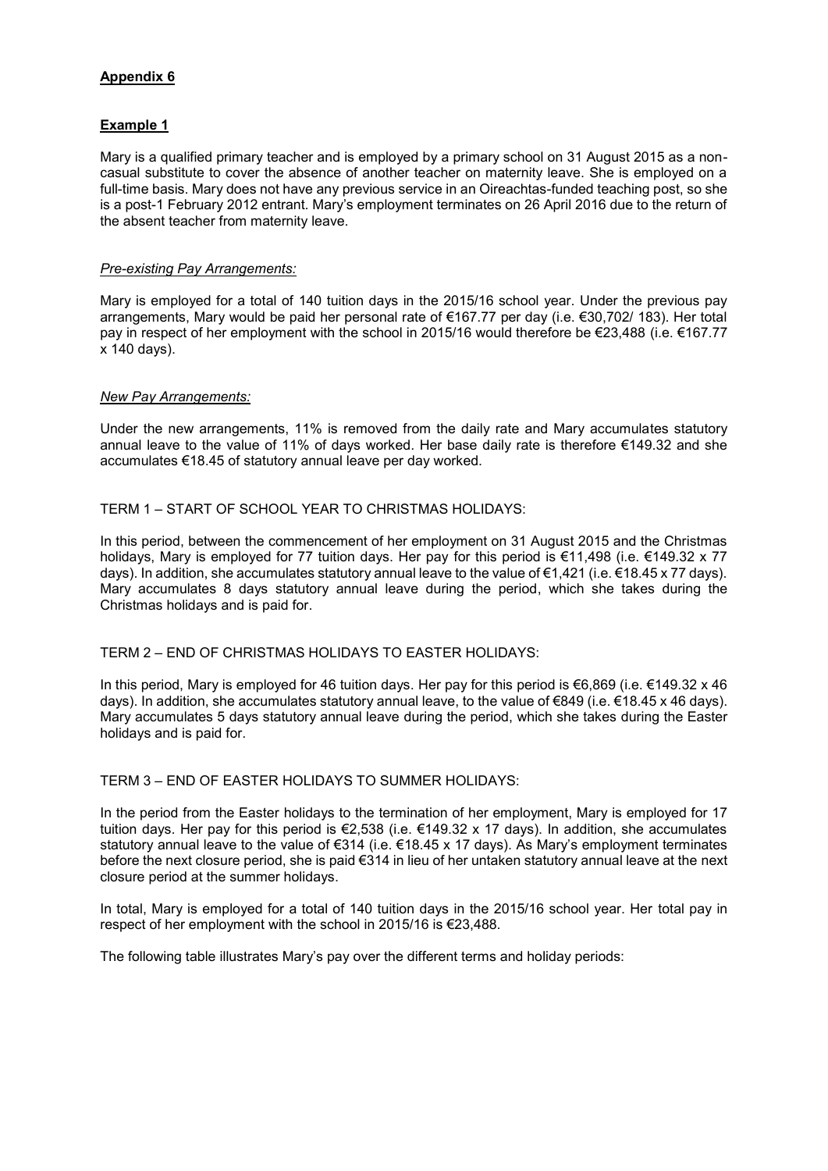# **Appendix 6**

# **Example 1**

Mary is a qualified primary teacher and is employed by a primary school on 31 August 2015 as a noncasual substitute to cover the absence of another teacher on maternity leave. She is employed on a full-time basis. Mary does not have any previous service in an Oireachtas-funded teaching post, so she is a post-1 February 2012 entrant. Mary's employment terminates on 26 April 2016 due to the return of the absent teacher from maternity leave.

### *Pre-existing Pay Arrangements:*

Mary is employed for a total of 140 tuition days in the 2015/16 school year. Under the previous pay arrangements, Mary would be paid her personal rate of €167.77 per day (i.e. €30,702/ 183). Her total pay in respect of her employment with the school in 2015/16 would therefore be €23,488 (i.e. €167.77 x 140 days).

#### *New Pay Arrangements:*

Under the new arrangements, 11% is removed from the daily rate and Mary accumulates statutory annual leave to the value of 11% of days worked. Her base daily rate is therefore €149.32 and she accumulates €18.45 of statutory annual leave per day worked.

#### TERM 1 – START OF SCHOOL YEAR TO CHRISTMAS HOLIDAYS:

In this period, between the commencement of her employment on 31 August 2015 and the Christmas holidays, Mary is employed for 77 tuition days. Her pay for this period is €11,498 (i.e. €149.32 x 77 days). In addition, she accumulates statutory annual leave to the value of €1,421 (i.e. €18.45 x 77 days). Mary accumulates 8 days statutory annual leave during the period, which she takes during the Christmas holidays and is paid for.

## TERM 2 – END OF CHRISTMAS HOLIDAYS TO EASTER HOLIDAYS:

In this period, Mary is employed for 46 tuition days. Her pay for this period is €6,869 (i.e. €149.32 x 46 days). In addition, she accumulates statutory annual leave, to the value of €849 (i.e. €18.45 x 46 days). Mary accumulates 5 days statutory annual leave during the period, which she takes during the Easter holidays and is paid for.

#### TERM 3 – END OF EASTER HOLIDAYS TO SUMMER HOLIDAYS:

In the period from the Easter holidays to the termination of her employment, Mary is employed for 17 tuition days. Her pay for this period is €2,538 (i.e. €149.32 x 17 days). In addition, she accumulates statutory annual leave to the value of €314 (i.e. €18.45 x 17 days). As Mary's employment terminates before the next closure period, she is paid €314 in lieu of her untaken statutory annual leave at the next closure period at the summer holidays.

In total, Mary is employed for a total of 140 tuition days in the 2015/16 school year. Her total pay in respect of her employment with the school in 2015/16 is €23,488.

The following table illustrates Mary's pay over the different terms and holiday periods: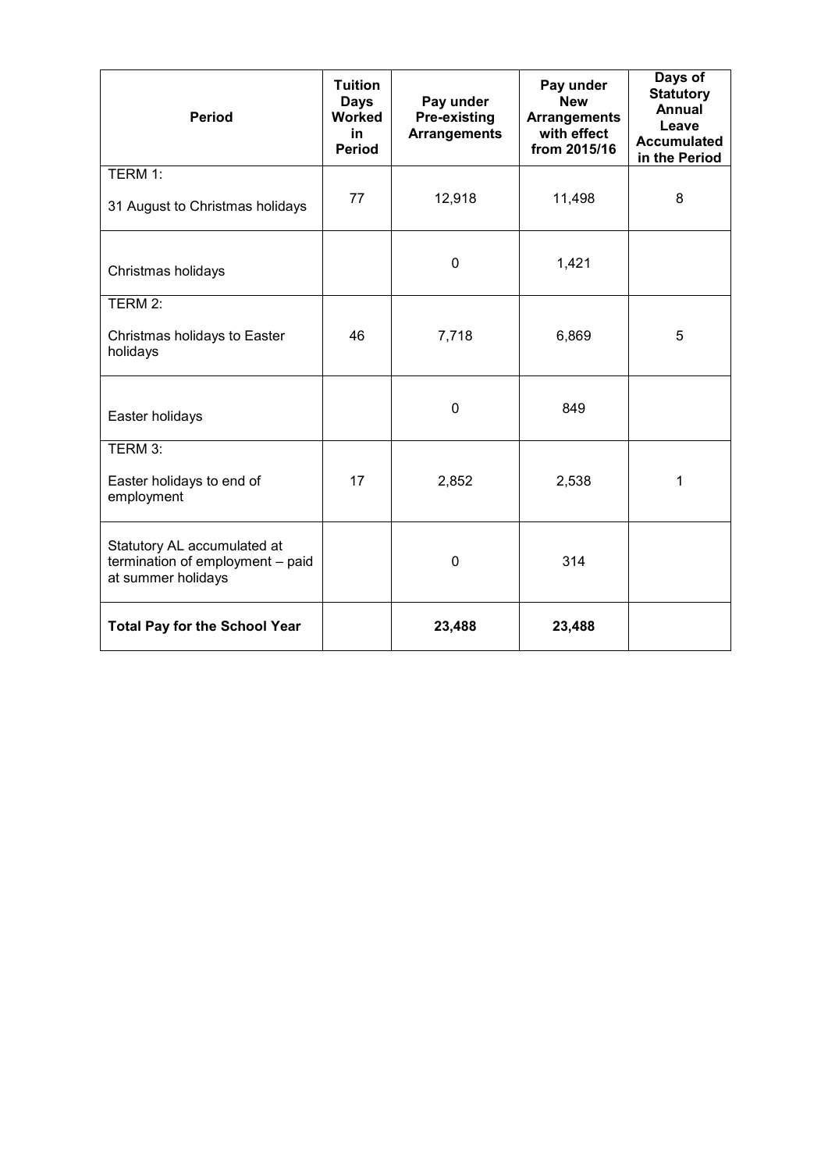| <b>Period</b>                                                                         | <b>Tuition</b><br><b>Days</b><br><b>Worked</b><br>in<br><b>Period</b> | Pay under<br>Pre-existing<br><b>Arrangements</b> | Pay under<br><b>New</b><br><b>Arrangements</b><br>with effect<br>from 2015/16 | Days of<br><b>Statutory</b><br>Annual<br>Leave<br><b>Accumulated</b><br>in the Period |
|---------------------------------------------------------------------------------------|-----------------------------------------------------------------------|--------------------------------------------------|-------------------------------------------------------------------------------|---------------------------------------------------------------------------------------|
| TERM 1:<br>31 August to Christmas holidays                                            | 77                                                                    | 12,918                                           | 11,498                                                                        | 8                                                                                     |
| Christmas holidays                                                                    |                                                                       | $\mathbf 0$                                      | 1,421                                                                         |                                                                                       |
| TERM 2:<br>Christmas holidays to Easter<br>holidays                                   | 46                                                                    | 7,718                                            | 6,869                                                                         | 5                                                                                     |
| Easter holidays                                                                       |                                                                       | $\mathbf 0$                                      | 849                                                                           |                                                                                       |
| TERM 3:<br>Easter holidays to end of<br>employment                                    | 17                                                                    | 2,852                                            | 2,538                                                                         | 1                                                                                     |
| Statutory AL accumulated at<br>termination of employment - paid<br>at summer holidays |                                                                       | 0                                                | 314                                                                           |                                                                                       |
| <b>Total Pay for the School Year</b>                                                  |                                                                       | 23,488                                           | 23,488                                                                        |                                                                                       |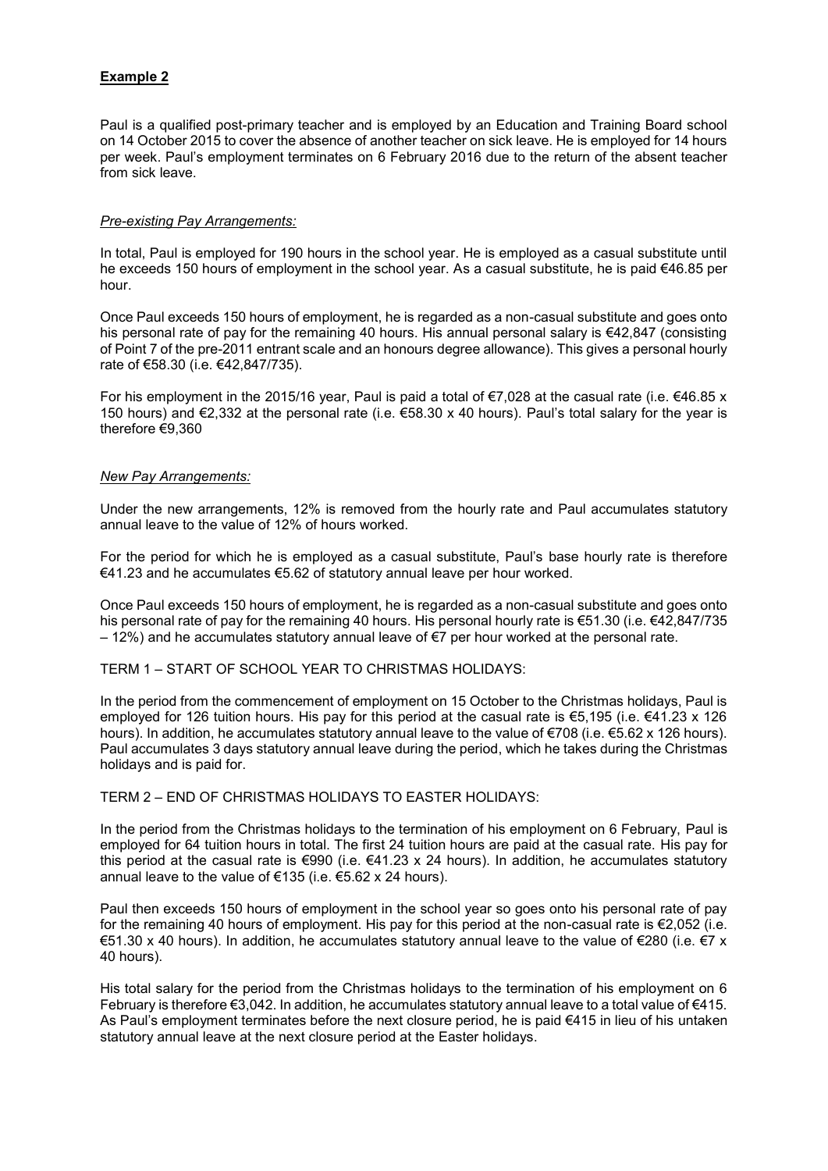# **Example 2**

Paul is a qualified post-primary teacher and is employed by an Education and Training Board school on 14 October 2015 to cover the absence of another teacher on sick leave. He is employed for 14 hours per week. Paul's employment terminates on 6 February 2016 due to the return of the absent teacher from sick leave.

### *Pre-existing Pay Arrangements:*

In total, Paul is employed for 190 hours in the school year. He is employed as a casual substitute until he exceeds 150 hours of employment in the school year. As a casual substitute, he is paid €46.85 per hour.

Once Paul exceeds 150 hours of employment, he is regarded as a non-casual substitute and goes onto his personal rate of pay for the remaining 40 hours. His annual personal salary is €42,847 (consisting of Point 7 of the pre-2011 entrant scale and an honours degree allowance). This gives a personal hourly rate of €58.30 (i.e. €42,847/735).

For his employment in the 2015/16 year, Paul is paid a total of  $\epsilon$ 7,028 at the casual rate (i.e.  $\epsilon$ 46.85 x 150 hours) and €2,332 at the personal rate (i.e.  $€58.30 \times 40$  hours). Paul's total salary for the year is therefore €9,360

#### *New Pay Arrangements:*

Under the new arrangements, 12% is removed from the hourly rate and Paul accumulates statutory annual leave to the value of 12% of hours worked.

For the period for which he is employed as a casual substitute, Paul's base hourly rate is therefore €41.23 and he accumulates €5.62 of statutory annual leave per hour worked.

Once Paul exceeds 150 hours of employment, he is regarded as a non-casual substitute and goes onto his personal rate of pay for the remaining 40 hours. His personal hourly rate is €51.30 (i.e. €42,847/735  $-12%$ ) and he accumulates statutory annual leave of €7 per hour worked at the personal rate.

# TERM 1 – START OF SCHOOL YEAR TO CHRISTMAS HOLIDAYS:

In the period from the commencement of employment on 15 October to the Christmas holidays, Paul is employed for 126 tuition hours. His pay for this period at the casual rate is €5,195 (i.e. €41.23 x 126 hours). In addition, he accumulates statutory annual leave to the value of €708 (i.e. €5.62 x 126 hours). Paul accumulates 3 days statutory annual leave during the period, which he takes during the Christmas holidays and is paid for.

#### TERM 2 – END OF CHRISTMAS HOLIDAYS TO EASTER HOLIDAYS:

In the period from the Christmas holidays to the termination of his employment on 6 February, Paul is employed for 64 tuition hours in total. The first 24 tuition hours are paid at the casual rate. His pay for this period at the casual rate is €990 (i.e. €41.23 x 24 hours). In addition, he accumulates statutory annual leave to the value of  $\epsilon$ 135 (i.e.  $\epsilon$ 5.62 x 24 hours).

Paul then exceeds 150 hours of employment in the school year so goes onto his personal rate of pay for the remaining 40 hours of employment. His pay for this period at the non-casual rate is €2,052 (i.e. €51.30 x 40 hours). In addition, he accumulates statutory annual leave to the value of €280 (i.e. €7 x 40 hours).

His total salary for the period from the Christmas holidays to the termination of his employment on 6 February is therefore €3,042. In addition, he accumulates statutory annual leave to a total value of €415. As Paul's employment terminates before the next closure period, he is paid €415 in lieu of his untaken statutory annual leave at the next closure period at the Easter holidays.